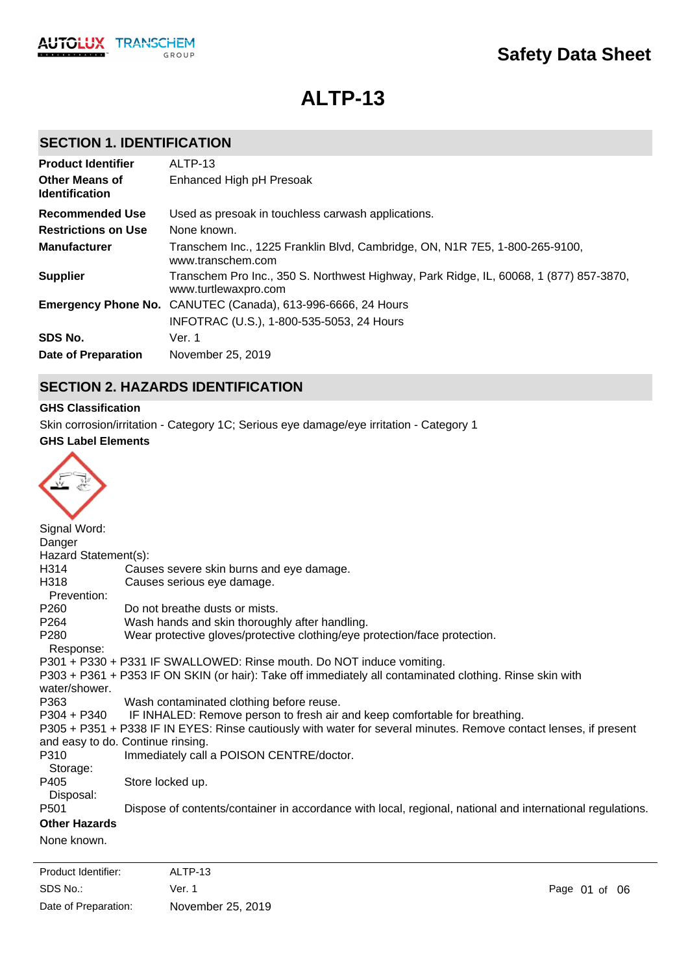

# **ALTP-13**

# **SECTION 1. IDENTIFICATION**

| <b>Product Identifier</b>                      | ALTP-13                                                                                                        |
|------------------------------------------------|----------------------------------------------------------------------------------------------------------------|
| <b>Other Means of</b><br><b>Identification</b> | Enhanced High pH Presoak                                                                                       |
| Recommended Use                                | Used as presoak in touchless carwash applications.                                                             |
| <b>Restrictions on Use</b>                     | None known.                                                                                                    |
| <b>Manufacturer</b>                            | Transchem Inc., 1225 Franklin Blvd, Cambridge, ON, N1R 7E5, 1-800-265-9100,<br>www.transchem.com               |
| <b>Supplier</b>                                | Transchem Pro Inc., 350 S. Northwest Highway, Park Ridge, IL, 60068, 1 (877) 857-3870,<br>www.turtlewaxpro.com |
|                                                | Emergency Phone No. CANUTEC (Canada), 613-996-6666, 24 Hours                                                   |
|                                                | INFOTRAC (U.S.), 1-800-535-5053, 24 Hours                                                                      |
| SDS No.                                        | Ver. 1                                                                                                         |
| Date of Preparation                            | November 25, 2019                                                                                              |

# **SECTION 2. HAZARDS IDENTIFICATION**

## **GHS Classification**

Skin corrosion/irritation - Category 1C; Serious eye damage/eye irritation - Category 1

#### **GHS Label Elements**



| Signal Word:         |                                                                                                                   |
|----------------------|-------------------------------------------------------------------------------------------------------------------|
| Danger               |                                                                                                                   |
| Hazard Statement(s): |                                                                                                                   |
| H314                 | Causes severe skin burns and eye damage.                                                                          |
| H318<br>Prevention:  | Causes serious eye damage.                                                                                        |
| P260                 | Do not breathe dusts or mists.                                                                                    |
| P264                 | Wash hands and skin thoroughly after handling.                                                                    |
| P280                 | Wear protective gloves/protective clothing/eye protection/face protection.                                        |
| Response:            |                                                                                                                   |
|                      | P301 + P330 + P331 IF SWALLOWED: Rinse mouth. Do NOT induce vomiting.                                             |
|                      | P303 + P361 + P353 IF ON SKIN (or hair): Take off immediately all contaminated clothing. Rinse skin with          |
| water/shower.        |                                                                                                                   |
| P363                 | Wash contaminated clothing before reuse.                                                                          |
|                      | P304 + P340 IF INHALED: Remove person to fresh air and keep comfortable for breathing.                            |
|                      | P305 + P351 + P338 IF IN EYES: Rinse cautiously with water for several minutes. Remove contact lenses, if present |
|                      | and easy to do. Continue rinsing.                                                                                 |
| P310                 | Immediately call a POISON CENTRE/doctor.                                                                          |
| Storage:             |                                                                                                                   |
| P405                 | Store locked up.                                                                                                  |
| Disposal:            |                                                                                                                   |
| P <sub>501</sub>     | Dispose of contents/container in accordance with local, regional, national and international regulations.         |
| <b>Other Hazards</b> |                                                                                                                   |
| None known.          |                                                                                                                   |

SDS No.: Date of Preparation: Ver. 1 Page 01 of 06 November 25, 2019 Product Identifier: ALTP-13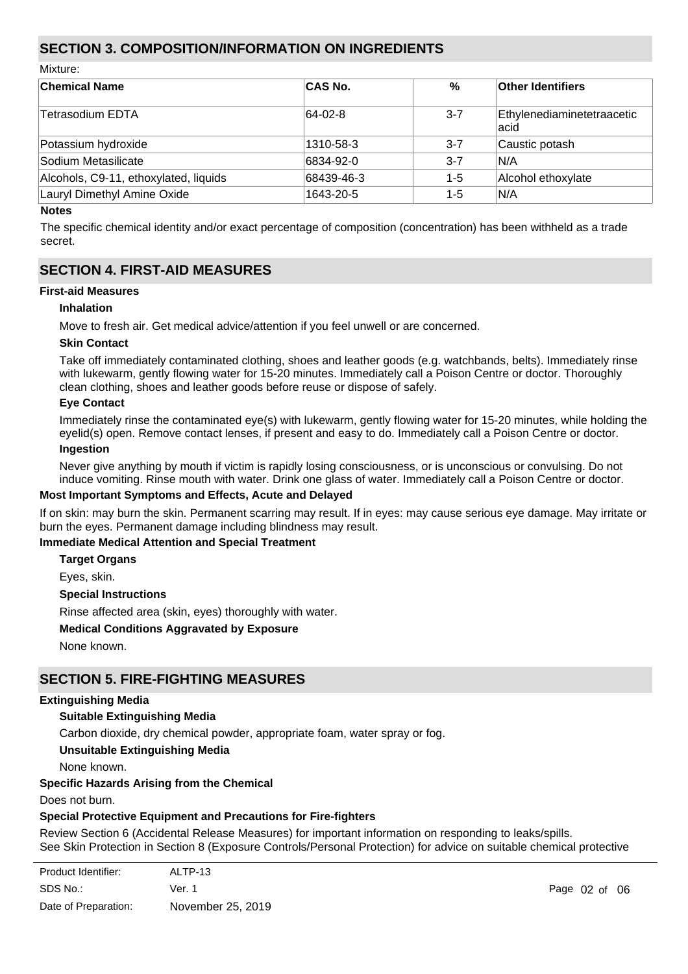# **SECTION 3. COMPOSITION/INFORMATION ON INGREDIENTS**

Mixture:

| <b>Chemical Name</b>                  | <b>CAS No.</b> | $\%$    | <b>Other Identifiers</b>            |
|---------------------------------------|----------------|---------|-------------------------------------|
| Tetrasodium EDTA                      | 64-02-8        | $3 - 7$ | Ethylenediaminetetraacetic<br>lacid |
| Potassium hydroxide                   | 1310-58-3      | $3 - 7$ | Caustic potash                      |
| Sodium Metasilicate                   | 6834-92-0      | $3 - 7$ | IN/A                                |
| Alcohols, C9-11, ethoxylated, liquids | 68439-46-3     | $1 - 5$ | Alcohol ethoxylate                  |
| Lauryl Dimethyl Amine Oxide           | 1643-20-5      | $1 - 5$ | IN/A                                |

#### **Notes**

The specific chemical identity and/or exact percentage of composition (concentration) has been withheld as a trade secret.

# **SECTION 4. FIRST-AID MEASURES**

#### **First-aid Measures**

#### **Inhalation**

Move to fresh air. Get medical advice/attention if you feel unwell or are concerned.

#### **Skin Contact**

Take off immediately contaminated clothing, shoes and leather goods (e.g. watchbands, belts). Immediately rinse with lukewarm, gently flowing water for 15-20 minutes. Immediately call a Poison Centre or doctor. Thoroughly clean clothing, shoes and leather goods before reuse or dispose of safely.

#### **Eye Contact**

Immediately rinse the contaminated eye(s) with lukewarm, gently flowing water for 15-20 minutes, while holding the eyelid(s) open. Remove contact lenses, if present and easy to do. Immediately call a Poison Centre or doctor.

# **Ingestion**

Never give anything by mouth if victim is rapidly losing consciousness, or is unconscious or convulsing. Do not induce vomiting. Rinse mouth with water. Drink one glass of water. Immediately call a Poison Centre or doctor.

#### **Most Important Symptoms and Effects, Acute and Delayed**

If on skin: may burn the skin. Permanent scarring may result. If in eyes: may cause serious eye damage. May irritate or burn the eyes. Permanent damage including blindness may result.

## **Immediate Medical Attention and Special Treatment**

**Target Organs**

Eyes, skin.

#### **Special Instructions**

Rinse affected area (skin, eyes) thoroughly with water.

#### **Medical Conditions Aggravated by Exposure**

None known.

## **SECTION 5. FIRE-FIGHTING MEASURES**

#### **Extinguishing Media**

## **Suitable Extinguishing Media**

Carbon dioxide, dry chemical powder, appropriate foam, water spray or fog.

**Unsuitable Extinguishing Media**

None known.

## **Specific Hazards Arising from the Chemical**

Does not burn.

materials.

## **Special Protective Equipment and Precautions for Fire-fighters**

Review Section 6 (Accidental Release Measures) for important information on responding to leaks/spills. See Skin Protection in Section 8 (Exposure Controls/Personal Protection) for advice on suitable chemical protective

| Product Identifier:  | ALTP-13           |
|----------------------|-------------------|
| SDS No.:             | Ver. 1            |
| Date of Preparation: | November 25, 2019 |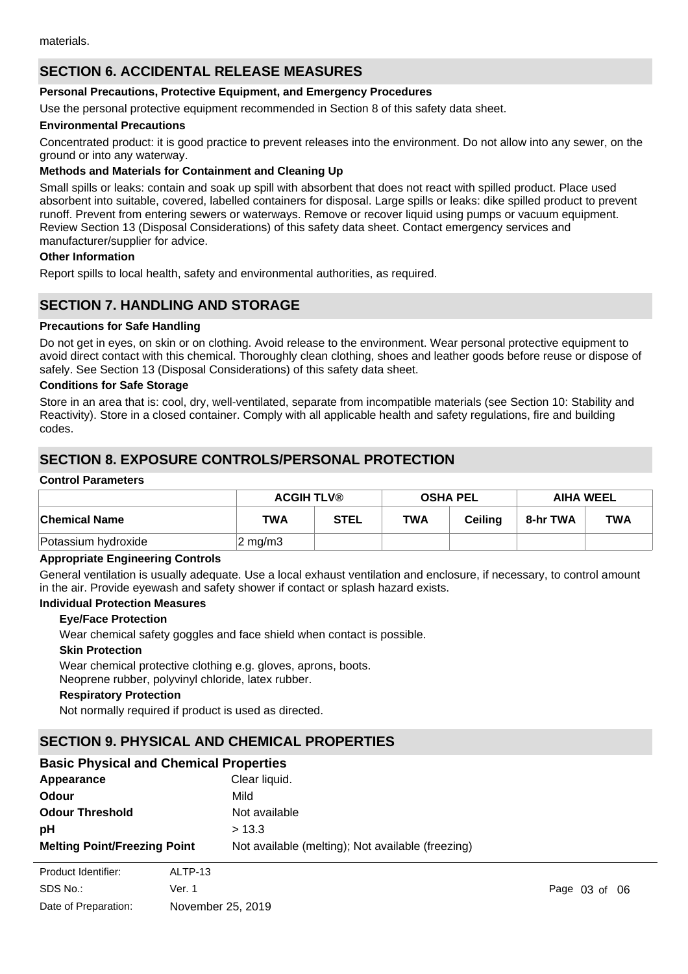# **SECTION 6. ACCIDENTAL RELEASE MEASURES**

#### **Personal Precautions, Protective Equipment, and Emergency Procedures**

Use the personal protective equipment recommended in Section 8 of this safety data sheet.

#### **Environmental Precautions**

Concentrated product: it is good practice to prevent releases into the environment. Do not allow into any sewer, on the ground or into any waterway.

#### **Methods and Materials for Containment and Cleaning Up**

Small spills or leaks: contain and soak up spill with absorbent that does not react with spilled product. Place used absorbent into suitable, covered, labelled containers for disposal. Large spills or leaks: dike spilled product to prevent runoff. Prevent from entering sewers or waterways. Remove or recover liquid using pumps or vacuum equipment. Review Section 13 (Disposal Considerations) of this safety data sheet. Contact emergency services and manufacturer/supplier for advice.

#### **Other Information**

Report spills to local health, safety and environmental authorities, as required.

## **SECTION 7. HANDLING AND STORAGE**

#### **Precautions for Safe Handling**

Do not get in eyes, on skin or on clothing. Avoid release to the environment. Wear personal protective equipment to avoid direct contact with this chemical. Thoroughly clean clothing, shoes and leather goods before reuse or dispose of safely. See Section 13 (Disposal Considerations) of this safety data sheet.

#### **Conditions for Safe Storage**

Store in an area that is: cool, dry, well-ventilated, separate from incompatible materials (see Section 10: Stability and Reactivity). Store in a closed container. Comply with all applicable health and safety regulations, fire and building codes.

# **SECTION 8. EXPOSURE CONTROLS/PERSONAL PROTECTION**

#### **Control Parameters**

|                      | <b>ACGIH TLV®</b> |             |            | <b>OSHA PEL</b> | <b>AIHA WEEL</b> |            |
|----------------------|-------------------|-------------|------------|-----------------|------------------|------------|
| <b>Chemical Name</b> | <b>TWA</b>        | <b>STEL</b> | <b>TWA</b> | <b>Ceiling</b>  | 8-hr TWA         | <b>TWA</b> |
| Potassium hydroxide  | 2 mg/m3           |             |            |                 |                  |            |

#### **Appropriate Engineering Controls**

General ventilation is usually adequate. Use a local exhaust ventilation and enclosure, if necessary, to control amount in the air. Provide eyewash and safety shower if contact or splash hazard exists.

#### **Individual Protection Measures**

#### **Eye/Face Protection**

Wear chemical safety goggles and face shield when contact is possible.

#### **Skin Protection**

Wear chemical protective clothing e.g. gloves, aprons, boots. Neoprene rubber, polyvinyl chloride, latex rubber.

#### **Respiratory Protection**

Not normally required if product is used as directed.

## **SECTION 9. PHYSICAL AND CHEMICAL PROPERTIES**

| <b>Basic Physical and Chemical Properties</b> |                                                   |  |  |
|-----------------------------------------------|---------------------------------------------------|--|--|
| Appearance                                    | Clear liquid.                                     |  |  |
| Odour                                         | Mild                                              |  |  |
| <b>Odour Threshold</b>                        | Not available                                     |  |  |
| рH                                            | > 13.3                                            |  |  |
| <b>Melting Point/Freezing Point</b>           | Not available (melting); Not available (freezing) |  |  |

| Product Identifier:  | ALTP-13           |
|----------------------|-------------------|
| SDS No.:             | Ver. 1            |
| Date of Preparation: | November 25, 2019 |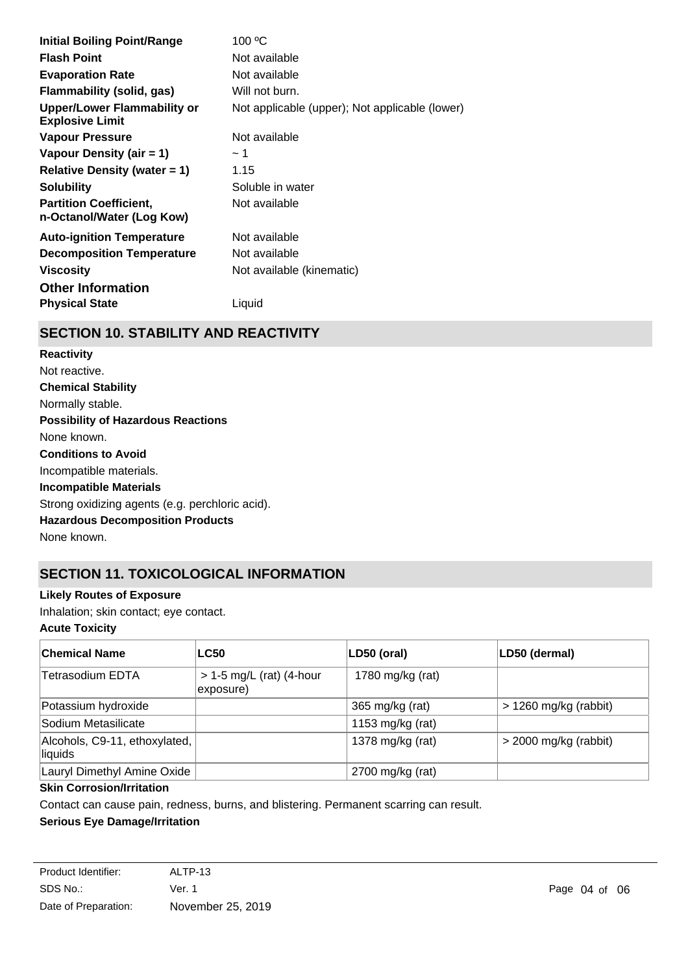| <b>Initial Boiling Point/Range</b>                           | 100 °C                                         |
|--------------------------------------------------------------|------------------------------------------------|
| <b>Flash Point</b>                                           | Not available                                  |
| <b>Evaporation Rate</b>                                      | Not available                                  |
| Flammability (solid, gas)                                    | Will not burn.                                 |
| <b>Upper/Lower Flammability or</b><br><b>Explosive Limit</b> | Not applicable (upper); Not applicable (lower) |
| <b>Vapour Pressure</b>                                       | Not available                                  |
| Vapour Density (air = 1)                                     | ∼ 1                                            |
| Relative Density (water $= 1$ )                              | 1.15                                           |
| <b>Solubility</b>                                            | Soluble in water                               |
| <b>Partition Coefficient,</b><br>n-Octanol/Water (Log Kow)   | Not available                                  |
| <b>Auto-ignition Temperature</b>                             | Not available                                  |
| <b>Decomposition Temperature</b>                             | Not available                                  |
| <b>Viscosity</b>                                             | Not available (kinematic)                      |
| <b>Other Information</b>                                     |                                                |
| <b>Physical State</b>                                        | Liquid                                         |

# **SECTION 10. STABILITY AND REACTIVITY**

**Chemical Stability** Normally stable. **Conditions to Avoid** Incompatible materials. **Incompatible Materials** Strong oxidizing agents (e.g. perchloric acid). **Hazardous Decomposition Products** None known. **Possibility of Hazardous Reactions** None known. **Reactivity** Not reactive.

# **SECTION 11. TOXICOLOGICAL INFORMATION**

## **Likely Routes of Exposure**

Inhalation; skin contact; eye contact.

## **Acute Toxicity**

| <b>Chemical Name</b>                     | <b>LC50</b>                             | LD50 (oral)      | LD50 (dermal)           |
|------------------------------------------|-----------------------------------------|------------------|-------------------------|
| Tetrasodium EDTA                         | $> 1-5$ mg/L (rat) (4-hour<br>exposure) | 1780 mg/kg (rat) |                         |
| Potassium hydroxide                      |                                         | 365 mg/kg (rat)  | $> 1260$ mg/kg (rabbit) |
| Sodium Metasilicate                      |                                         | 1153 mg/kg (rat) |                         |
| Alcohols, C9-11, ethoxylated,<br>liquids |                                         | 1378 mg/kg (rat) | $>$ 2000 mg/kg (rabbit) |
| Lauryl Dimethyl Amine Oxide              |                                         | 2700 mg/kg (rat) |                         |

## **Skin Corrosion/Irritation**

Contact can cause pain, redness, burns, and blistering. Permanent scarring can result.

## **Serious Eye Damage/Irritation**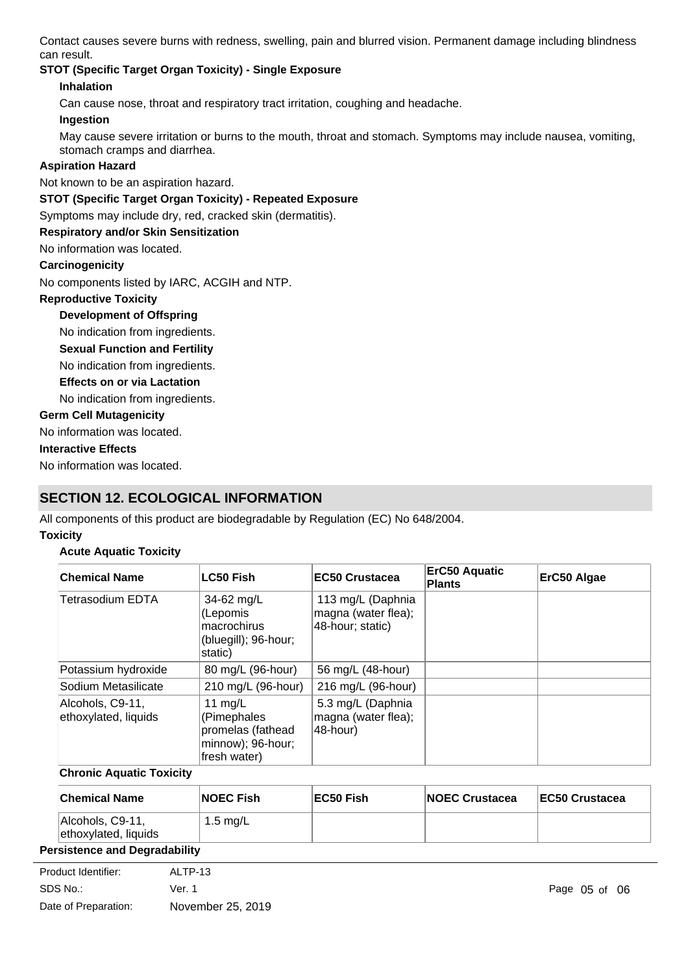Contact causes severe burns with redness, swelling, pain and blurred vision. Permanent damage including blindness can result.

# **STOT (Specific Target Organ Toxicity) - Single Exposure**

## **Inhalation**

Can cause nose, throat and respiratory tract irritation, coughing and headache.

#### **Ingestion**

May cause severe irritation or burns to the mouth, throat and stomach. Symptoms may include nausea, vomiting, stomach cramps and diarrhea.

## **Aspiration Hazard**

Not known to be an aspiration hazard.

## **STOT (Specific Target Organ Toxicity) - Repeated Exposure**

Symptoms may include dry, red, cracked skin (dermatitis).

## **Respiratory and/or Skin Sensitization**

No information was located.

#### **Carcinogenicity**

No components listed by IARC, ACGIH and NTP.

## **Reproductive Toxicity**

## **Development of Offspring**

No indication from ingredients.

#### **Sexual Function and Fertility**

No indication from ingredients.

#### **Effects on or via Lactation**

No indication from ingredients.

## **Germ Cell Mutagenicity**

No information was located.

## **Interactive Effects**

No information was located.

# **SECTION 12. ECOLOGICAL INFORMATION**

All components of this product are biodegradable by Regulation (EC) No 648/2004.

## **Toxicity**

## **Acute Aquatic Toxicity**

| <b>Chemical Name</b>                     | LC50 Fish                                                                          | EC50 Crustacea                                               | <b>ErC50 Aquatic</b><br><b>Plants</b> | ErC50 Algae |
|------------------------------------------|------------------------------------------------------------------------------------|--------------------------------------------------------------|---------------------------------------|-------------|
| Tetrasodium EDTA                         | 34-62 $mg/L$<br>(Lepomis<br>macrochirus<br>(bluegill); 96-hour;<br>static)         | 113 mg/L (Daphnia<br>magna (water flea);<br>48-hour; static) |                                       |             |
| Potassium hydroxide                      | 80 mg/L (96-hour)                                                                  | 56 mg/L (48-hour)                                            |                                       |             |
| Sodium Metasilicate                      | 210 mg/L (96-hour)                                                                 | 216 mg/L (96-hour)                                           |                                       |             |
| Alcohols, C9-11,<br>ethoxylated, liquids | 11 $mg/L$<br>(Pimephales<br>promelas (fathead<br>minnow); 96-hour;<br>fresh water) | 5.3 mg/L (Daphnia<br>magna (water flea);<br>48-hour)         |                                       |             |

## **Chronic Aquatic Toxicity**

| <b>Chemical Name</b>                     | <b>NOEC Fish</b> | EC50 Fish | <b>NOEC Crustacea</b> | <b>EC50 Crustacea</b> |
|------------------------------------------|------------------|-----------|-----------------------|-----------------------|
| Alcohols, C9-11,<br>ethoxylated, liquids | 1.5 mg/L         |           |                       |                       |
| en et et en element de la mondelle Utter |                  |           |                       |                       |

## **Persistence and Degradability**

| Product Identifier:  | ALTP-13           |            |
|----------------------|-------------------|------------|
| SDS No.:             | Ver. 1            | Page 05 of |
| Date of Preparation: | November 25, 2019 |            |